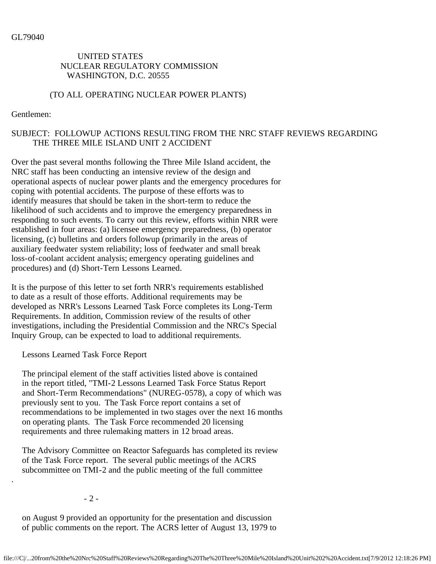GL79040

## UNITED STATES NUCLEAR REGULATORY COMMISSION WASHINGTON, D.C. 20555

## (TO ALL OPERATING NUCLEAR POWER PLANTS)

Gentlemen:

## SUBJECT: FOLLOWUP ACTIONS RESULTING FROM THE NRC STAFF REVIEWS REGARDING THE THREE MILE ISLAND UNIT 2 ACCIDENT

Over the past several months following the Three Mile Island accident, the NRC staff has been conducting an intensive review of the design and operational aspects of nuclear power plants and the emergency procedures for coping with potential accidents. The purpose of these efforts was to identify measures that should be taken in the short-term to reduce the likelihood of such accidents and to improve the emergency preparedness in responding to such events. To carry out this review, efforts within NRR were established in four areas: (a) licensee emergency preparedness, (b) operator licensing, (c) bulletins and orders followup (primarily in the areas of auxiliary feedwater system reliability; loss of feedwater and small break loss-of-coolant accident analysis; emergency operating guidelines and procedures) and (d) Short-Tern Lessons Learned.

It is the purpose of this letter to set forth NRR's requirements established to date as a result of those efforts. Additional requirements may be developed as NRR's Lessons Learned Task Force completes its Long-Term Requirements. In addition, Commission review of the results of other investigations, including the Presidential Commission and the NRC's Special Inquiry Group, can be expected to load to additional requirements.

Lessons Learned Task Force Report

 The principal element of the staff activities listed above is contained in the report titled, "TMI-2 Lessons Learned Task Force Status Report and Short-Term Recommendations" (NUREG-0578), a copy of which was previously sent to you. The Task Force report contains a set of recommendations to be implemented in two stages over the next 16 months on operating plants. The Task Force recommended 20 licensing requirements and three rulemaking matters in 12 broad areas.

 The Advisory Committee on Reactor Safeguards has completed its review of the Task Force report. The several public meetings of the ACRS subcommittee on TMI-2 and the public meeting of the full committee

- 2 -

.

 on August 9 provided an opportunity for the presentation and discussion of public comments on the report. The ACRS letter of August 13, 1979 to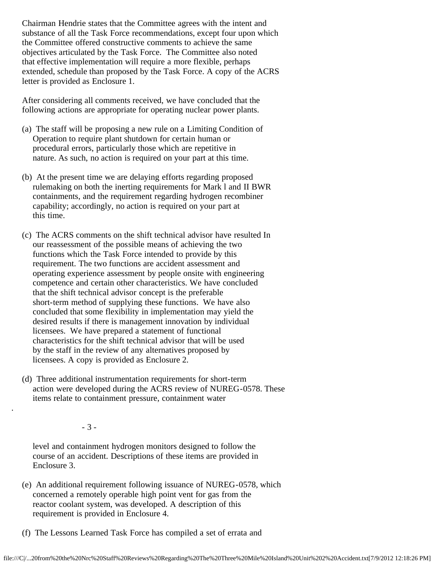Chairman Hendrie states that the Committee agrees with the intent and substance of all the Task Force recommendations, except four upon which the Committee offered constructive comments to achieve the same objectives articulated by the Task Force. The Committee also noted that effective implementation will require a more flexible, perhaps extended, schedule than proposed by the Task Force. A copy of the ACRS letter is provided as Enclosure 1.

 After considering all comments received, we have concluded that the following actions are appropriate for operating nuclear power plants.

- (a) The staff will be proposing a new rule on a Limiting Condition of Operation to require plant shutdown for certain human or procedural errors, particularly those which are repetitive in nature. As such, no action is required on your part at this time.
- (b) At the present time we are delaying efforts regarding proposed rulemaking on both the inerting requirements for Mark l and II BWR containments, and the requirement regarding hydrogen recombiner capability; accordingly, no action is required on your part at this time.
- (c) The ACRS comments on the shift technical advisor have resulted In our reassessment of the possible means of achieving the two functions which the Task Force intended to provide by this requirement. The two functions are accident assessment and operating experience assessment by people onsite with engineering competence and certain other characteristics. We have concluded that the shift technical advisor concept is the preferable short-term method of supplying these functions. We have also concluded that some flexibility in implementation may yield the desired results if there is management innovation by individual licensees. We have prepared a statement of functional characteristics for the shift technical advisor that will be used by the staff in the review of any alternatives proposed by licensees. A copy is provided as Enclosure 2.
- (d) Three additional instrumentation requirements for short-term action were developed during the ACRS review of NUREG-0578. These items relate to containment pressure, containment water

- 3 -

.

 level and containment hydrogen monitors designed to follow the course of an accident. Descriptions of these items are provided in Enclosure 3.

- (e) An additional requirement following issuance of NUREG-0578, which concerned a remotely operable high point vent for gas from the reactor coolant system, was developed. A description of this requirement is provided in Enclosure 4.
- (f) The Lessons Learned Task Force has compiled a set of errata and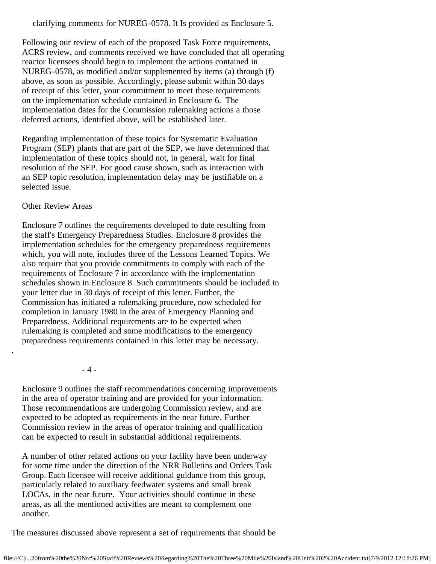clarifying comments for NUREG-0578. It Is provided as Enclosure 5.

 Following our review of each of the proposed Task Force requirements, ACRS review, and comments received we have concluded that all operating reactor licensees should begin to implement the actions contained in NUREG-0578, as modified and/or supplemented by items (a) through (f) above, as soon as possible. Accordingly, please submit within 30 days of receipt of this letter, your commitment to meet these requirements on the implementation schedule contained in Enclosure 6. The implementation dates for the Commission rulemaking actions a those deferred actions, identified above, will be established later.

 Regarding implementation of these topics for Systematic Evaluation Program (SEP) plants that are part of the SEP, we have determined that implementation of these topics should not, in general, wait for final resolution of the SEP. For good cause shown, such as interaction with an SEP topic resolution, implementation delay may be justifiable on a selected issue.

## Other Review Areas

.

 Enclosure 7 outlines the requirements developed to date resulting from the staff's Emergency Preparedness Studies. Enclosure 8 provides the implementation schedules for the emergency preparedness requirements which, you will note, includes three of the Lessons Learned Topics. We also require that you provide commitments to comply with each of the requirements of Enclosure 7 in accordance with the implementation schedules shown in Enclosure 8. Such commitments should be included in your letter due in 30 days of receipt of this letter. Further, the Commission has initiated a rulemaking procedure, now scheduled for completion in January 1980 in the area of Emergency Planning and Preparedness. Additional requirements are to be expected when rulemaking is completed and some modifications to the emergency preparedness requirements contained in this letter may be necessary.

- 4 -

 Enclosure 9 outlines the staff recommendations concerning improvements in the area of operator training and are provided for your information. Those recommendations are undergoing Commission review, and are expected to be adopted as requirements in the near future. Further Commission review in the areas of operator training and qualification can be expected to result in substantial additional requirements.

 A number of other related actions on your facility have been underway for some time under the direction of the NRR Bulletins and Orders Task Group. Each licensee will receive additional guidance from this group, particularly related to auxiliary feedwater systems and small break LOCAs, in the near future. Your activities should continue in these areas, as all the mentioned activities are meant to complement one another.

The measures discussed above represent a set of requirements that should be